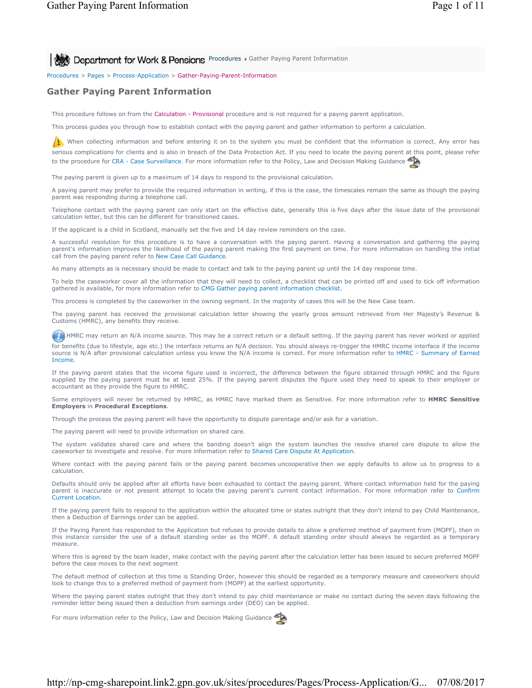**Procedures > Gather Paying Parent Information** 

Procedures > Pages > Process-Application > Gather-Paying-Parent-Information

# **Gather Paying Parent Information**

This procedure follows on from the Calculation - Provisional procedure and is not required for a paying parent application.

This process guides you through how to establish contact with the paying parent and gather information to perform a calculation.

When collecting information and before entering it on to the system you must be confident that the information is correct. Any error has serious complications for clients and is also in breach of the Data Protection Act. If you need to locate the paying parent at this point, please refer to the procedure for CRA - Case Surveillance. For more information refer to the Policy, Law and Decision Making Guidance

The paying parent is given up to a maximum of 14 days to respond to the provisional calculation.

A paying parent may prefer to provide the required information in writing, if this is the case, the timescales remain the same as though the paying parent was responding during a telephone call.

Telephone contact with the paying parent can only start on the effective date, generally this is five days after the issue date of the provisional calculation letter, but this can be different for transitioned cases.

If the applicant is a child in Scotland, manually set the five and 14 day review reminders on the case.

A successful resolution for this procedure is to have a conversation with the paying parent. Having a conversation and gathering the paying parent's information improves the likelihood of the paying parent making the first payment on time. For more information on handling the initial call from the paying parent refer to New Case Call Guidance.

As many attempts as is necessary should be made to contact and talk to the paying parent up until the 14 day response time.

To help the caseworker cover all the information that they will need to collect, a checklist that can be printed off and used to tick off information gathered is available, for more information refer to CMG Gather paying parent information checklist.

This process is completed by the caseworker in the owning segment. In the majority of cases this will be the New Case team.

The paying parent has received the provisional calculation letter showing the yearly gross amount retrieved from Her Majesty's Revenue & Customs (HMRC), any benefits they receive.

(iii) HMRC may return an N/A income source. This may be a correct return or a default setting. If the paying parent has never worked or applied for benefits (due to lifestyle, age etc.) the interface returns an N/A decision. You should always re-trigger the HMRC income interface if the income source is N/A after provisional calculation unless you know the N/A income is correct. For more information refer to HMRC - Summary of Earned Income.

If the paying parent states that the income figure used is incorrect, the difference between the figure obtained through HMRC and the figure supplied by the paying parent must be at least 25%. If the paying parent disputes the figure used they need to speak to their employer or accountant as they provide the figure to HMRC.

Some employers will never be returned by HMRC, as HMRC have marked them as Sensitive. For more information refer to **HMRC Sensitive Employers** in **Procedural Exceptions**.

Through the process the paying parent will have the opportunity to dispute parentage and/or ask for a variation.

The paying parent will need to provide information on shared care.

The system validates shared care and where the banding doesn't align the system launches the resolve shared care dispute to allow the caseworker to investigate and resolve. For more information refer to Shared Care Dispute At Application.

Where contact with the paying parent fails or the paying parent becomes uncooperative then we apply defaults to allow us to progress to a calculation.

Defaults should only be applied after all efforts have been exhausted to contact the paying parent. Where contact information held for the paying parent is inaccurate or not present attempt to locate the paying parent's current contact information. For more information refer to Confirm Current Location.

If the paying parent fails to respond to the application within the allocated time or states outright that they don't intend to pay Child Maintenance, then a Deduction of Earnings order can be applied.

If the Paying Parent has responded to the Application but refuses to provide details to allow a preferred method of payment from (MOPF), then in this instance consider the use of a default standing order as the MOPF. A default standing order should always be regarded as a temporary measure.

Where this is agreed by the team leader, make contact with the paying parent after the calculation letter has been issued to secure preferred MOPF before the case moves to the next segment

The default method of collection at this time is Standing Order, however this should be regarded as a temporary measure and caseworkers should look to change this to a preferred method of payment from (MOPF) at the earliest opportunity.

Where the paying parent states outright that they don't intend to pay child maintenance or make no contact during the seven days following the reminder letter being issued then a deduction from earnings order (DEO) can be applied.

For more information refer to the Policy, Law and Decision Making Guidance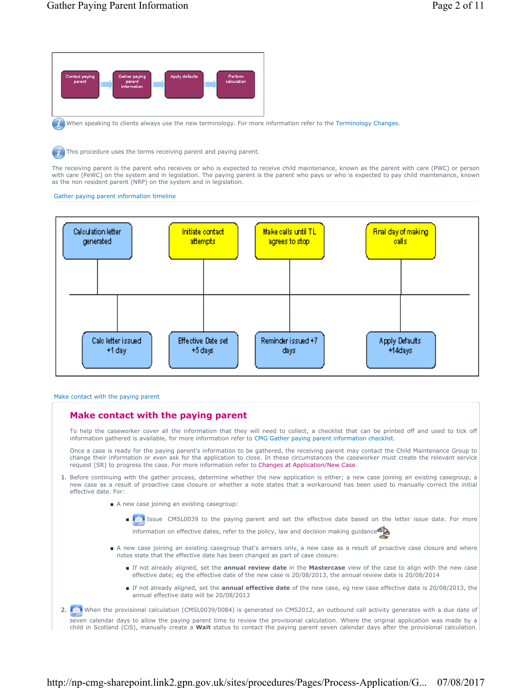

When speaking to clients always use the new terminology. For more information refer to the Terminology Changes.

This procedure uses the terms receiving parent and paying parent.

The receiving parent is the parent who receives or who is expected to receive child maintenance, known as the parent with care (PWC) or person with care (PeWC) on the system and in legislation. The paying parent is the parent who pays or who is expected to pay child maintenance, known as the non resident parent (NRP) on the system and in legislation.

#### Gather paying parent information timeline



#### Make contact with the paying parent

# **Make contact with the paying parent**

To help the caseworker cover all the information that they will need to collect, a checklist that can be printed off and used to tick off information gathered is available, for more information refer to CMG Gather paying parent information checklist.

Once a case is ready for the paying parent's information to be gathered, the receiving parent may contact the Child Maintenance Group to change their information or even ask for the application to close. In these circumstances the caseworker must create the relevant service request (SR) to progress the case. For more information refer to Changes at Application/New Case.

- 1. Before continuing with the gather process, determine whether the new application is either; a new case joining an existing casegroup, a new case as a result of proactive case closure or whether a note states that a workaround has been used to manually correct the initial effective date. For:
	- A new case joining an existing casegroup:
		- ■ Issue CMSL0039 to the paying parent and set the effective date based on the letter issue date. For more information on effective dates, refer to the policy, law and decision making guidance
	- A new case joining an existing casegroup that's arrears only, a new case as a result of proactive case closure and where notes state that the effective date has been changed as part of case closure:
		- If not already aligned, set the **annual review date** in the Mastercase view of the case to align with the new case effective date; eg the effective date of the new case is 20/08/2013, the annual review date is 20/08/2014
		- If not already aligned, set the **annual effective date** of the new case, eg new case effective date is 20/08/2013, the annual effective date will be 20/08/2013
- 2. When the provisional calculation (CMSL0039/0084) is generated on CMS2012, an outbound call activity generates with a due date of seven calendar days to allow the paying parent time to review the provisional calculation. Where the original application was made by a child in Scotland (CiS), manually create a **Wait** status to contact the paying parent seven calendar days after the provisional calculation.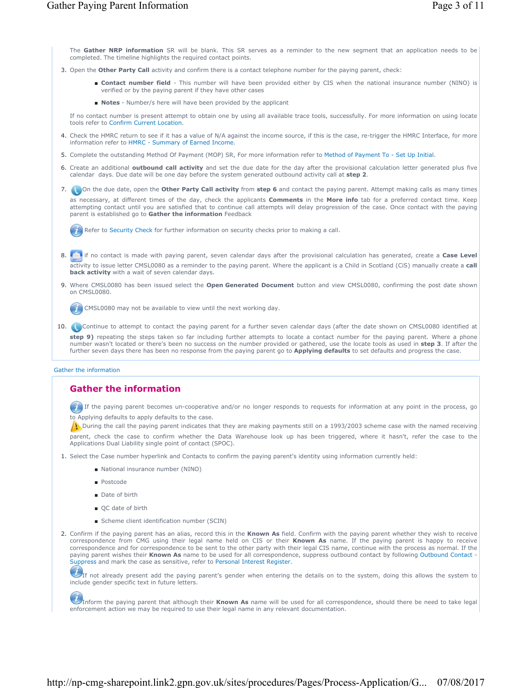The **Gather NRP information** SR will be blank. This SR serves as a reminder to the new segment that an application needs to be completed. The timeline highlights the required contact points.

- 3. Open the **Other Party Call** activity and confirm there is a contact telephone number for the paying parent, check:
	- Contact number field This number will have been provided either by CIS when the national insurance number (NINO) is verified or by the paying parent if they have other cases
	- **Notes** Number/s here will have been provided by the applicant

If no contact number is present attempt to obtain one by using all available trace tools, successfully. For more information on using locate tools refer to Confirm Current Location.

- 4. Check the HMRC return to see if it has a value of N/A against the income source, if this is the case, re-trigger the HMRC Interface, for more information refer to HMRC - Summary of Earned Income.
- 5. Complete the outstanding Method Of Payment (MOP) SR, For more information refer to Method of Payment To Set Up Initial.
- 6. Create an additional **outbound call activity** and set the due date for the day after the provisional calculation letter generated plus five calendar days. Due date will be one day before the system generated outbound activity call at **step 2**.

7. **Co** On the due date, open the Other Party Call activity from step 6 and contact the paying parent. Attempt making calls as many times as necessary, at different times of the day, check the applicants **Comments** in the **More info** tab for a preferred contact time. Keep attempting contact until you are satisfied that to continue call attempts will delay progression of the case. Once contact with the paying parent is established go to **Gather the information** Feedback

Refer to Security Check for further information on security checks prior to making a call.

 if no contact is made with paying parent, seven calendar days after the provisional calculation has generated, create a **Case Level**  8. activity to issue letter CMSL0080 as a reminder to the paying parent. Where the applicant is a Child in Scotland (CiS) manually create a **call back activity** with a wait of seven calendar days.

9. Where CMSL0080 has been issued select the Open Generated Document button and view CMSL0080, confirming the post date shown on CMSL0080.

CMSL0080 may not be available to view until the next working day.

10. Continue to attempt to contact the paying parent for a further seven calendar days (after the date shown on CMSL0080 identified at **step 9)** repeating the steps taken so far including further attempts to locate a contact number for the paying parent. Where a phone number wasn't located or there's been no success on the number provided or gathered, use the locate tools as used in **step 3**. If after the further seven days there has been no response from the paying parent go to **Applying defaults** to set defaults and progress the case.

#### Gather the information

# **Gather the information**

If the paying parent becomes un-cooperative and/or no longer responds to requests for information at any point in the process, go to Applying defaults to apply defaults to the case.

 $\Lambda$  During the call the paying parent indicates that they are making payments still on a 1993/2003 scheme case with the named receiving parent, check the case to confirm whether the Data Warehouse look up has been triggered, where it hasn't, refer the case to the Applications Dual Liability single point of contact (SPOC).

- 1. Select the Case number hyperlink and Contacts to confirm the paying parent's identity using information currently held:
	- National insurance number (NINO)
	- Postcode
	- Date of birth
	- OC date of birth
	- Scheme client identification number (SCIN)
- 2. Confirm if the paying parent has an alias, record this in the **Known As** field. Confirm with the paying parent whether they wish to receive correspondence from CMG using their legal name held on CIS or their **Known As** name. If the paying parent is happy to receive correspondence and for correspondence to be sent to the other party with their legal CIS name, continue with the process as normal. If the paying parent wishes their Known As name to be used for all correspondence, suppress outbound contact by following Outbound Contact -Suppress and mark the case as sensitive, refer to Personal Interest Register.

 $U$ If not already present add the paying parent's gender when entering the details on to the system, doing this allows the system to include gender specific text in future letters.

Inform the paying parent that although their **Known As** name will be used for all correspondence, should there be need to take legal enforcement action we may be required to use their legal name in any relevant documentation.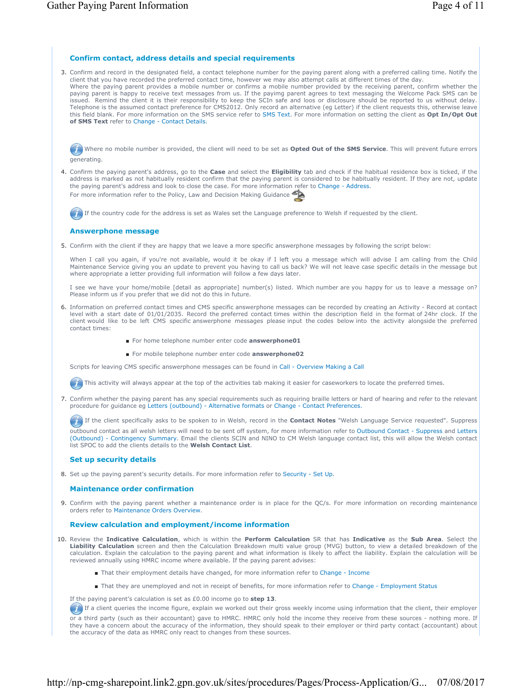# **Confirm contact, address details and special requirements**

3. Confirm and record in the designated field, a contact telephone number for the paying parent along with a preferred calling time. Notify the client that you have recorded the preferred contact time, however we may also attempt calls at different times of the day. Where the paying parent provides a mobile number or confirms a mobile number provided by the receiving parent, confirm whether the paying parent is happy to receive text messages from us. If the payimg parent agrees to text messaging the Welcome Pack SMS can be issued. Remind the client it is their responsibility to keep the SCIn safe and loos or disclosure should be reported to us without delay. Telephone is the assumed contact preference for CMS2012. Only record an alternative (eg Letter) if the client requests this, otherwise leave this field blank. For more information on the SMS service refer to SMS Text. For more information on setting the client as **Opt In/Opt Out of SMS Text** refer to Change - Contact Details.

Where no mobile number is provided, the client will need to be set as **Opted Out of the SMS Service**. This will prevent future errors generating.

Confirm the paying parent's address, go to the **Case** and select the **Eligibility** tab and check if the habitual residence box is ticked, if the 4. address is marked as not habitually resident confirm that the paying parent is considered to be habitually resident. If they are not, update the paying parent's address and look to close the case. For more information refer to Change - Address. For more information refer to the Policy, Law and Decision Making Guidance

If the country code for the address is set as Wales set the Language preference to Welsh if requested by the client.

# **Answerphone message**

5. Confirm with the client if they are happy that we leave a more specific answerphone messages by following the script below:

When I call you again, if you're not available, would it be okay if I left you a message which will advise I am calling from the Child Maintenance Service giving you an update to prevent you having to call us back? We will not leave case specific details in the message but where appropriate a letter providing full information will follow a few days later.

I see we have your home/mobile [detail as appropriate] number(s) listed. Which number are you happy for us to leave a message on? Please inform us if you prefer that we did not do this in future.

- 6. Information on preferred contact times and CMS specific answerphone messages can be recorded by creating an Activity Record at contact level with a start date of 01/01/2035. Record the preferred contact times within the description field in the format of 24hr clock. If the client would like to be left CMS specific answerphone messages please input the codes below into the activity alongside the preferred contact times:
	- For home telephone number enter code **answerphone01**
	- For mobile telephone number enter code **answerphone02**

Scripts for leaving CMS specific answerphone messages can be found in Call - Overview Making a Call

This activity will always appear at the top of the activities tab making it easier for caseworkers to locate the preferred times.

7. Confirm whether the paying parent has any special requirements such as requiring braille letters or hard of hearing and refer to the relevant procedure for guidance eg Letters (outbound) - Alternative formats or Change - Contact Preferences.

If the client specifically asks to be spoken to in Welsh, record in the **Contact Notes** "Welsh Language Service requested". Suppress

outbound contact as all welsh letters will need to be sent off system, for more information refer to Outbound Contact - Suppress and Letters (Outbound) - Contingency Summary. Email the clients SCIN and NINO to CM Welsh language contact list, this will allow the Welsh contact list SPOC to add the clients details to the **Welsh Contact List**.

### **Set up security details**

8. Set up the paying parent's security details. For more information refer to Security - Set Up.

### **Maintenance order confirmation**

9. Confirm with the paying parent whether a maintenance order is in place for the QC/s. For more information on recording maintenance orders refer to Maintenance Orders Overview.

## **Review calculation and employment/income information**

- 10. Review the Indicative Calculation, which is within the Perform Calculation SR that has Indicative as the Sub Area. Select the **Liability Calculation** screen and then the Calculation Breakdown multi value group (MVG) button, to view a detailed breakdown of the calculation. Explain the calculation to the paying parent and what information is likely to affect the liability. Explain the calculation will be reviewed annually using HMRC income where available. If the paying parent advises:
	- That their employment details have changed, for more information refer to Change Income
	- That they are unemployed and not in receipt of benefits, for more information refer to Change Employment Status
	- If the paying parent's calculation is set as £0.00 income go to **step 13**.

If a client queries the income figure, explain we worked out their gross weekly income using information that the client, their employer

or a third party (such as their accountant) gave to HMRC. HMRC only hold the income they receive from these sources - nothing more. If they have a concern about the accuracy of the information, they should speak to their employer or third party contact (accountant) about the accuracy of the data as HMRC only react to changes from these sources.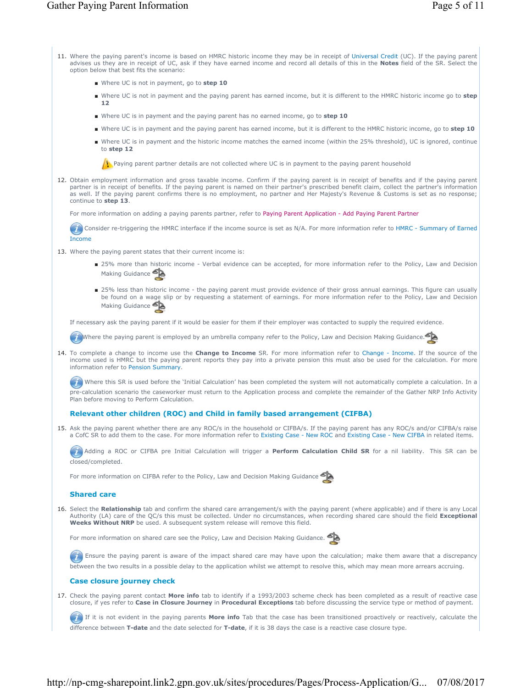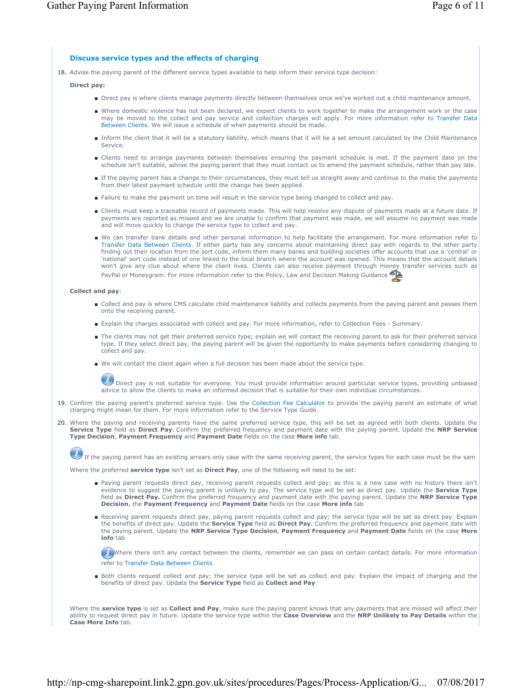# **Discuss service types and the effects of charging**

18. Advise the paying parent of the different service types available to help inform their service type decision:

## **Direct pay:**

- Direct pay is where clients manage payments directly between themselves once we've worked out a child maintenance amount.
- Where domestic violence has not been declared, we expect clients to work together to make the arrangement work or the case may be moved to the collect and pay service and collection charges will apply. For more information refer to Transfer Data Between Clients. We will issue a schedule of when payments should be made.
- Inform the client that it will be a statutory liability, which means that it will be a set amount calculated by the Child Maintenance Service.
- Clients need to arrange payments between themselves ensuring the payment schedule is met. If the payment date on the schedule isn't suitable, advise the paying parent that they must contact us to amend the payment schedule, rather than pay late.
- If the paying parent has a change to their circumstances, they must tell us straight away and continue to the make the payments from their latest payment schedule until the change has been applied.
- Failure to make the payment on time will result in the service type being changed to collect and pay.
- Clients must keep a traceable record of payments made. This will help resolve any dispute of payments made at a future date. If payments are reported as missed and we are unable to confirm that payment was made, we will assume no payment was made and will move quickly to change the service type to collect and pay.
- We can transfer bank details and other personal information to help facilitate the arrangement. For more information refer to Transfer Data Between Clients. If either party has any concerns about maintaining direct pay with regards to the other party finding out their location from the sort code, inform them many banks and building societies offer accounts that use a 'central' or 'national' sort code instead of one linked to the local branch where the account was opened. This means that the account details won't give any clue about where the client lives. Clients can also receive payment through money transfer services such as PayPal or Moneygram. For more information refer to the Policy, Law and Decision Making Guidance

#### **Collect and pay**:

- Collect and pay is where CMS calculate child maintenance liability and collects payments from the paying parent and passes them onto the receiving parent.
- Explain the charges associated with collect and pay. For more information, refer to Collection Fees Summary.
- The clients may not get their preferred service type; explain we will contact the receiving parent to ask for their preferred service type. If they select direct pay, the paying parent will be given the opportunity to make payments before considering changing to collect and pay.
- We will contact the client again when a full decision has been made about the service type.

 Direct pay is not suitable for everyone. You must provide information around particular service types, providing unbiased advice to allow the clients to make an informed decision that is suitable for their own individual circumstances.

- 19. Confirm the paying parent's preferred service type. Use the Collection Fee Calculator to provide the paying parent an estimate of what charging might mean for them. For more information refer to the Service Type Guide.
- 20. Where the paying and receiving parents have the same preferred service type, this will be set as agreed with both clients. Update the **Service Type** field as **Direct Pay**. Confirm the preferred frequency and payment date with the paying parent. Update the **NRP Service Type Decision**, **Payment Frequency** and **Payment Date** fields on the case **More info** tab.

If the paying parent has an existing arrears only case with the same receiving parent, the service types for each case must be the sam

Where the preferred **service type** isn't set as **Direct Pay**, one of the following will need to be set:

- Paying parent requests direct pay, receiving parent requests collect and pay; as this is a new case with no history there isn't evidence to suggest the paying parent is unlikely to pay. The service type will be set as direct pay. Update the **Service Type**  field as **Direct Pay.** Confirm the preferred frequency and payment date with the paying parent. Update the **NRP Service Type Decision**, the **Payment Frequency** and **Payment Date** fields on the case **More info** tab
- Receiving parent requests direct pay, paying parent requests collect and pay; the service type will be set as direct pay. Explain the benefits of direct pay. Update the **Service Type** field as **Direct Pay.** Confirm the preferred frequency and payment date with the paying parent. Update the **NRP Service Type Decision**, **Payment Frequency** and **Payment Date** fields on the case **More info** tab

Where there isn't any contact between the clients, remember we can pass on certain contact details. For more information refer to Transfer Data Between Clients

■ Both clients request collect and pay; the service type will be set as collect and pay. Explain the impact of charging and the benefits of direct pay. Update the **Service Type** field as **Collect and Pay**

Where the **service type** is set as **Collect and Pay**, make sure the paying parent knows that any payments that are missed will affect their ability to request direct pay in future. Update the service type within the **Case Overview** and the **NRP Unlikely to Pay Details** within the **Case More Info** tab.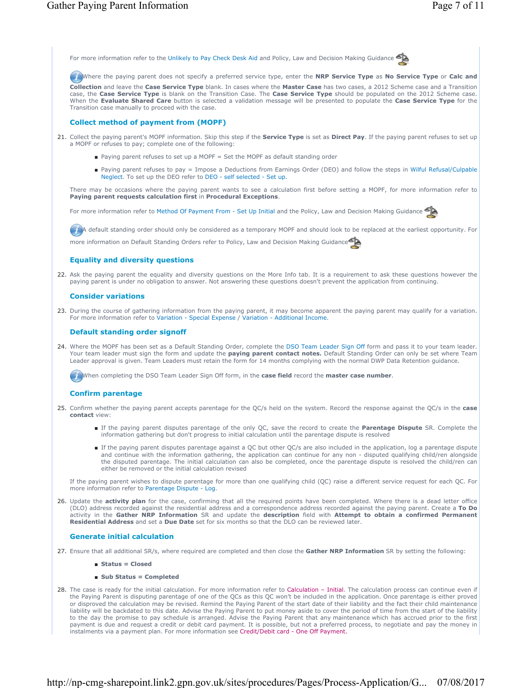

Where the paying parent does not specify a preferred service type, enter the **NRP Service Type** as **No Service Type** or **Calc and** 

**Collection** and leave the **Case Service Type** blank. In cases where the **Master Case** has two cases, a 2012 Scheme case and a Transition case, the **Case Service Type** is blank on the Transition Case. The **Case Service Type** should be populated on the 2012 Scheme case. When the **Evaluate Shared Care** button is selected a validation message will be presented to populate the **Case Service Type** for the Transition case manually to proceed with the case.

## **Collect method of payment from (MOPF)**

- 21. Collect the paying parent's MOPF information. Skip this step if the **Service Type** is set as **Direct Pay**. If the paying parent refuses to set up a MOPF or refuses to pay; complete one of the following:
	- Paying parent refuses to set up a MOPF = Set the MOPF as default standing order
	- Paying parent refuses to pay = Impose a Deductions from Earnings Order (DEO) and follow the steps in Wilful Refusal/Culpable Neglect. To set up the DEO refer to DEO - self selected - Set up.

There may be occasions where the paying parent wants to see a calculation first before setting a MOPF, for more information refer to **Paying parent requests calculation first** in **Procedural Exceptions**.

For more information refer to Method Of Payment From - Set Up Initial and the Policy, Law and Decision Making Guidance

A default standing order should only be considered as a temporary MOPF and should look to be replaced at the earliest opportunity. For

more information on Default Standing Orders refer to Policy, Law and Decision Making Guidance

### **Equality and diversity questions**

22. Ask the paying parent the equality and diversity questions on the More Info tab. It is a requirement to ask these questions however the paying parent is under no obligation to answer. Not answering these questions doesn't prevent the application from continuing.

### **Consider variations**

23. During the course of gathering information from the paying parent, it may become apparent the paying parent may qualify for a variation. For more information refer to Variation - Special Expense / Variation - Additional Income.

### **Default standing order signoff**

24. Where the MOPF has been set as a Default Standing Order, complete the DSO Team Leader Sign Off form and pass it to your team leader. Your team leader must sign the form and update the **paying parent contact notes.** Default Standing Order can only be set where Team Leader approval is given. Team Leaders must retain the form for 14 months complying with the normal DWP Data Retention guidance.

When completing the DSO Team Leader Sign Off form, in the **case field** record the **master case number**.

## **Confirm parentage**

- Confirm whether the paying parent accepts parentage for the QC/s held on the system. Record the response against the QC/s in the **case**  25. **contact** view:
	- If the paying parent disputes parentage of the only QC, save the record to create the Parentage Dispute SR. Complete the information gathering but don't progress to initial calculation until the parentage dispute is resolved
	- If the paying parent disputes parentage against a QC but other QC/s are also included in the application, log a parentage dispute and continue with the information gathering, the application can continue for any non - disputed qualifying child/ren alongside<br>the disputed parentage. The initial calculation can also be completed, once the parentage disp either be removed or the initial calculation revised

If the paying parent wishes to dispute parentage for more than one qualifying child (QC) raise a different service request for each QC. For more information refer to Parentage Dispute - Log.

26. Update the activity plan for the case, confirming that all the required points have been completed. Where there is a dead letter office (DLO) address recorded against the residential address and a correspondence address recorded against the paying parent. Create a **To Do**  activity in the **Gather NRP Information** SR and update the **description** field with **Attempt to obtain a confirmed Permanent Residential Address** and set a **Due Date** set for six months so that the DLO can be reviewed later.

### **Generate initial calculation**

- 27. Ensure that all additional SR/s, where required are completed and then close the **Gather NRP Information** SR by setting the following:
	- **Status = Closed**
	- **Sub Status = Completed**
- 28. The case is ready for the initial calculation. For more information refer to Calculation Initial. The calculation process can continue even if the Paying Parent is disputing parentage of one of the QCs as this QC won't be included in the application. Once parentage is either proved or disproved the calculation may be revised. Remind the Paying Parent of the start date of their liability and the fact their child maintenance liability will be backdated to this date. Advise the Paying Parent to put money aside to cover the period of time from the start of the liability to the day the promise to pay schedule is arranged. Advise the Paying Parent that any maintenance which has accrued prior to the first payment is due and request a credit or debit card payment. It is possible, but not a preferred process, to negotiate and pay the money in instalments via a payment plan. For more information see Credit/Debit card - One Off Payment.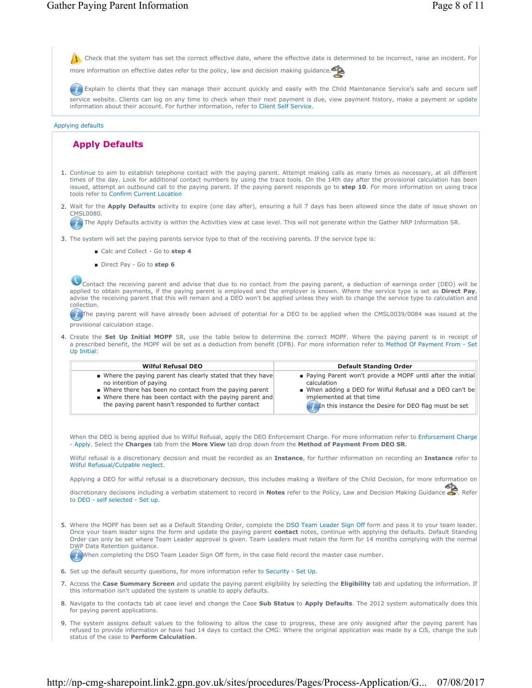$\Lambda$  Check that the system has set the correct effective date, where the effective date is determined to be incorrect, raise an incident. For

more information on effective dates refer to the policy, law and decision making guidance.

**Explain to clients that they can manage their account quickly and easily with the Child Maintenance Service's safe and secure self** service website. Clients can log on any time to check when their next payment is due, view payment history, make a payment or update information about their account. For further information, refer to Client Self Service.

#### Applying defaults

# **Apply Defaults**

- 1. Continue to aim to establish telephone contact with the paying parent. Attempt making calls as many times as necessary, at all different times of the day. Look for additional contact numbers by using the trace tools. On the 14th day after the provisional calculation has been issued, attempt an outbound call to the paying parent. If the paying parent responds go to **step 10**. For more information on using trace tools refer to Confirm Current Location
- 2. Wait for the Apply Defaults activity to expire (one day after), ensuring a full 7 days has been allowed since the date of issue shown on CMSL0080.

The Apply Defaults activity is within the Activities view at case level. This will not generate within the Gather NRP Information SR.

- 3. The system will set the paying parents service type to that of the receiving parents. If the service type is:
	- Calc and Collect Go to step 4
	- Direct Pay Go to step 6

Contact the receiving parent and advise that due to no contact from the paying parent, a deduction of earnings order (DEO) will be applied to obtain payments, if the paying parent is employed and the employer is known. Where the service type is set as **Direct Pay**, advise the receiving parent that this will remain and a DEO won't be applied unless they wish to change the service type to calculation and collection.

The paying parent will have already been advised of potential for a DEO to be applied when the CMSL0039/0084 was issued at the provisional calculation stage.

4. Create the Set Up Initial MOPF SR, use the table below to determine the correct MOPF. Where the paying parent is in receipt of a prescribed benefit, the MOPF will be set as a deduction from benefit (DFB). For more information refer to Method Of Payment From - Set Up Initial:

| <b>Wilful Refusal DEO</b>                                                                                                                                                                                                                                                          | <b>Default Standing Order</b>                                                                                                                                                                                                |
|------------------------------------------------------------------------------------------------------------------------------------------------------------------------------------------------------------------------------------------------------------------------------------|------------------------------------------------------------------------------------------------------------------------------------------------------------------------------------------------------------------------------|
| ■ Where the paying parent has clearly stated that they have<br>no intention of paying<br>Where there has been no contact from the paying parent<br>$\blacksquare$ Where there has been contact with the paying parent and<br>the paying parent hasn't responded to further contact | ■ Paying Parent won't provide a MOPF until after the initial<br>calculation<br>■ When adding a DEO for Wilful Refusal and a DEO can't be<br>implemented at that time<br>In this instance the Desire for DEO flag must be set |

When the DEO is being applied due to Wilful Refusal, apply the DEO Enforcement Charge. For more information refer to Enforcement Charge - Apply. Select the **Charges** tab from the **More View** tab drop down from the **Method of Payment From DEO SR**.

Wilful refusal is a discretionary decision and must be recorded as an **Instance**, for further information on recording an **Instance** refer to Wilful Refusual/Culpable neglect.

Applying a DEO for wilful refusal is a discretionary decision, this includes making a Welfare of the Child Decision, for more information on

discretionary decisions including a verbatim statement to record in **Notes** refer to the Policy, Law and Decision Making Guidance . Refer to DEO - self selected - Set up.

5. Where the MOPF has been set as a Default Standing Order, complete the DSO Team Leader Sign Off form and pass it to your team leader. Once your team leader signs the form and update the paying parent **contact** notes, continue with applying the defaults. Default Standing Order can only be set where Team Leader approval is given. Team Leaders must retain the form for 14 months complying with the normal DWP Data Retention guidance.

When completing the DSO Team Leader Sign Off form, in the case field record the master case number.

- 6. Set up the default security questions, for more information refer to Security Set Up.
- 7. Access the Case Summary Screen and update the paying parent eligibility by selecting the Eligibility tab and updating the information. If this information isn't updated the system is unable to apply defaults.
- 8. Navigate to the contacts tab at case level and change the Case **Sub Status** to **Apply Defaults**. The 2012 system automatically does this for paying parent applications.
- 9. The system assigns default values to the following to allow the case to progress, these are only assigned after the paying parent has refused to provide information or have had 14 days to contact the CMG: Where the original application was made by a CiS, change the sub status of the case to **Perform Calculation**.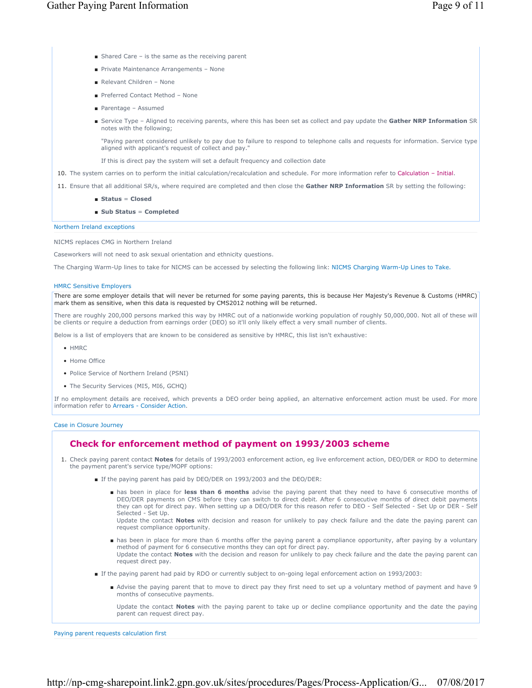- Shared Care is the same as the receiving parent
- Private Maintenance Arrangements None
- Relevant Children None
- Preferred Contact Method None
- Parentage Assumed
- Service Type Aligned to receiving parents, where this has been set as collect and pay update the Gather NRP Information SR notes with the following;

"Paying parent considered unlikely to pay due to failure to respond to telephone calls and requests for information. Service type aligned with applicant's request of collect and pay."

If this is direct pay the system will set a default frequency and collection date

- 10. The system carries on to perform the initial calculation/recalculation and schedule. For more information refer to Calculation Initial.
- 11. Ensure that all additional SR/s, where required are completed and then close the **Gather NRP Information** SR by setting the following:
	- **Status** = **Closed**
	- Sub Status = Completed

Northern Ireland exceptions

NICMS replaces CMG in Northern Ireland

Caseworkers will not need to ask sexual orientation and ethnicity questions.

The Charging Warm-Up lines to take for NICMS can be accessed by selecting the following link: NICMS Charging Warm-Up Lines to Take.

## HMRC Sensitive Employers

There are some employer details that will never be returned for some paying parents, this is because Her Majesty's Revenue & Customs (HMRC) mark them as sensitive, when this data is requested by CMS2012 nothing will be returned.

There are roughly 200,000 persons marked this way by HMRC out of a nationwide working population of roughly 50,000,000. Not all of these will be clients or require a deduction from earnings order (DEO) so it'll only likely effect a very small number of clients.

Below is a list of employers that are known to be considered as sensitive by HMRC, this list isn't exhaustive:

- HMRC
- Home Office
- Police Service of Northern Ireland (PSNI)
- The Security Services (MI5, MI6, GCHO)

If no employment details are received, which prevents a DEO order being applied, an alternative enforcement action must be used. For more information refer to Arrears - Consider Action.

## Case in Closure Journey

# **Check for enforcement method of payment on 1993/2003 scheme**

- 1. Check paying parent contact Notes for details of 1993/2003 enforcement action, eg live enforcement action, DEO/DER or RDO to determine the payment parent's service type/MOPF options:
	- If the paying parent has paid by DEO/DER on 1993/2003 and the DEO/DER:
		- has been in place for less than 6 months advise the paying parent that they need to have 6 consecutive months of DEO/DER payments on CMS before they can switch to direct debit. After 6 consecutive months of direct debit payments they can opt for direct pay. When setting up a DEO/DER for this reason refer to DEO - Self Selected - Set Up or DER - Self Selected - Set Up. Update the contact **Notes** with decision and reason for unlikely to pay check failure and the date the paying parent can request compliance opportunity.
		- has been in place for more than 6 months offer the paying parent a compliance opportunity, after paying by a voluntary method of payment for 6 consecutive months they can opt for direct pay. Update the contact **Notes** with the decision and reason for unlikely to pay check failure and the date the paying parent can request direct pay.
	- If the paying parent had paid by RDO or currently subject to on-going legal enforcement action on 1993/2003:
		- Advise the paying parent that to move to direct pay they first need to set up a voluntary method of payment and have 9 months of consecutive payments.

Update the contact **Notes** with the paying parent to take up or decline compliance opportunity and the date the paying parent can request direct pay.

Paying parent requests calculation first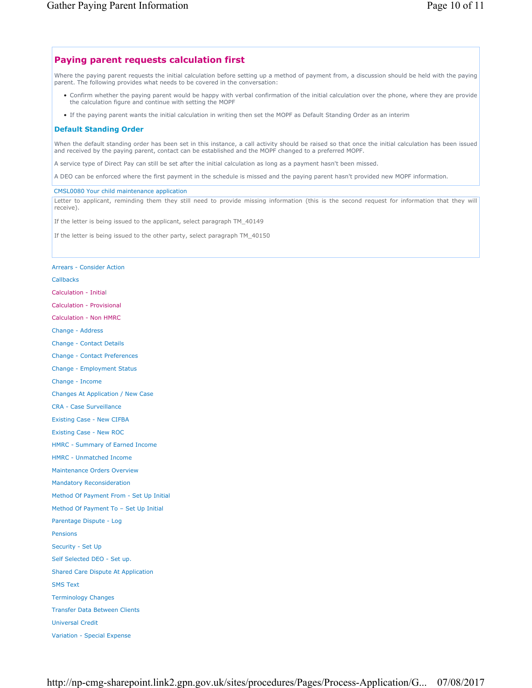# **Paying parent requests calculation first**

Where the paying parent requests the initial calculation before setting up a method of payment from, a discussion should be held with the paying parent. The following provides what needs to be covered in the conversation:

- Confirm whether the paying parent would be happy with verbal confirmation of the initial calculation over the phone, where they are provide the calculation figure and continue with setting the MOPF
- If the paying parent wants the initial calculation in writing then set the MOPF as Default Standing Order as an interim

# **Default Standing Order**

When the default standing order has been set in this instance, a call activity should be raised so that once the initial calculation has been issued and received by the paying parent, contact can be established and the MOPF changed to a preferred MOPF.

A service type of Direct Pay can still be set after the initial calculation as long as a payment hasn't been missed.

A DEO can be enforced where the first payment in the schedule is missed and the paying parent hasn't provided new MOPF information.

## CMSL0080 Your child maintenance application

Letter to applicant, reminding them they still need to provide missing information (this is the second request for information that they will receive).

If the letter is being issued to the applicant, select paragraph TM\_40149

If the letter is being issued to the other party, select paragraph TM\_40150

# Arrears - Consider Action

Callbacks Calculation - Initial Calculation - Provisional Calculation - Non HMRC Change - Address Change - Contact Details Change - Contact Preferences Change - Employment Status Change - Income Changes At Application / New Case CRA - Case Surveillance Existing Case - New CIFBA Existing Case - New ROC HMRC - Summary of Earned Income HMRC - Unmatched Income Maintenance Orders Overview Mandatory Reconsideration Method Of Payment From - Set Up Initial Method Of Payment To – Set Up Initial Parentage Dispute - Log Pensions Security - Set Up Self Selected DEO - Set up. Shared Care Dispute At Application SMS Text Terminology Changes Transfer Data Between Clients Universal Credit Variation - Special Expense